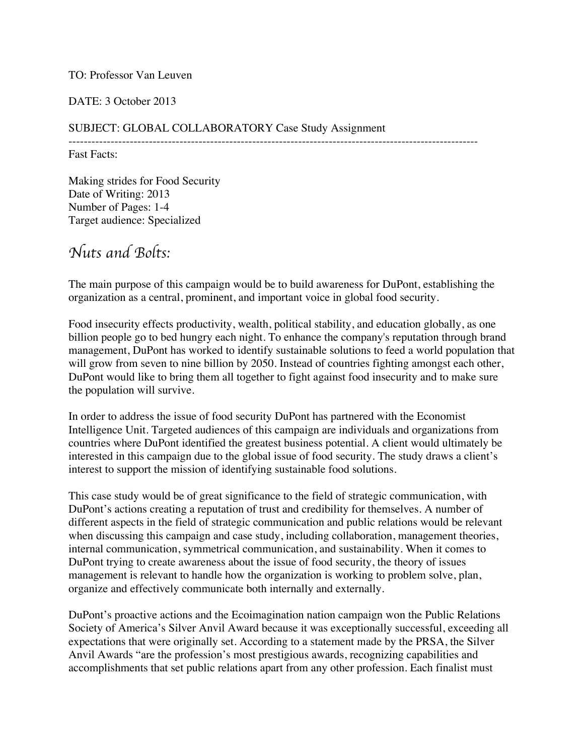### TO: Professor Van Leuven

### DATE: 3 October 2013

### SUBJECT: GLOBAL COLLABORATORY Case Study Assignment

----------------------------------------------------------------------------------------------------------- Fast Facts:

Making strides for Food Security Date of Writing: 2013 Number of Pages: 1-4 Target audience: Specialized

# *Nuts and Bolts:*

The main purpose of this campaign would be to build awareness for DuPont, establishing the organization as a central, prominent, and important voice in global food security.

Food insecurity effects productivity, wealth, political stability, and education globally, as one billion people go to bed hungry each night. To enhance the company's reputation through brand management, DuPont has worked to identify sustainable solutions to feed a world population that will grow from seven to nine billion by 2050. Instead of countries fighting amongst each other, DuPont would like to bring them all together to fight against food insecurity and to make sure the population will survive.

In order to address the issue of food security DuPont has partnered with the Economist Intelligence Unit. Targeted audiences of this campaign are individuals and organizations from countries where DuPont identified the greatest business potential. A client would ultimately be interested in this campaign due to the global issue of food security. The study draws a client's interest to support the mission of identifying sustainable food solutions.

This case study would be of great significance to the field of strategic communication, with DuPont's actions creating a reputation of trust and credibility for themselves. A number of different aspects in the field of strategic communication and public relations would be relevant when discussing this campaign and case study, including collaboration, management theories, internal communication, symmetrical communication, and sustainability. When it comes to DuPont trying to create awareness about the issue of food security, the theory of issues management is relevant to handle how the organization is working to problem solve, plan, organize and effectively communicate both internally and externally.

DuPont's proactive actions and the Ecoimagination nation campaign won the Public Relations Society of America's Silver Anvil Award because it was exceptionally successful, exceeding all expectations that were originally set. According to a statement made by the PRSA, the Silver Anvil Awards "are the profession's most prestigious awards, recognizing capabilities and accomplishments that set public relations apart from any other profession. Each finalist must